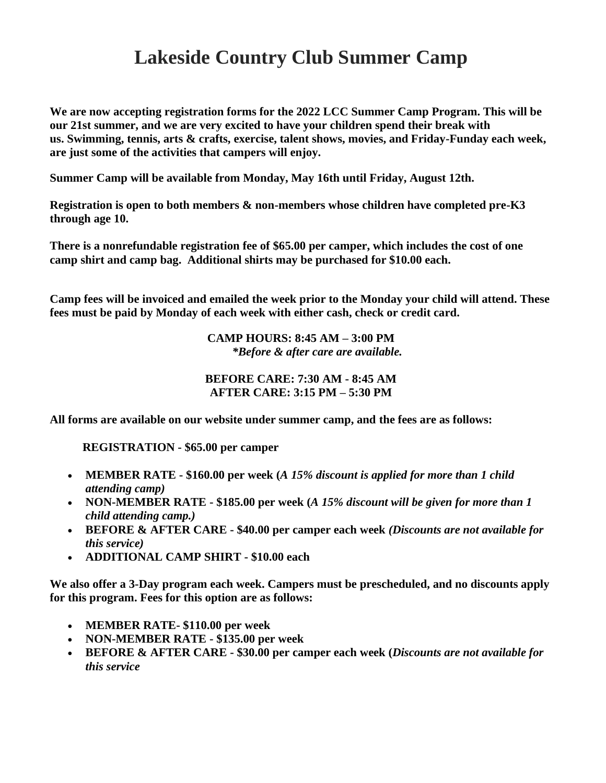## **Lakeside Country Club Summer Camp**

**We are now accepting registration forms for the 2022 LCC Summer Camp Program. This will be our 21st summer, and we are very excited to have your children spend their break with us. Swimming, tennis, arts & crafts, exercise, talent shows, movies, and Friday-Funday each week, are just some of the activities that campers will enjoy.**

**Summer Camp will be available from Monday, May 16th until Friday, August 12th.**

**Registration is open to both members & non-members whose children have completed pre-K3 through age 10.**

**There is a nonrefundable registration fee of \$65.00 per camper, which includes the cost of one camp shirt and camp bag. Additional shirts may be purchased for \$10.00 each.**

**Camp fees will be invoiced and emailed the week prior to the Monday your child will attend. These fees must be paid by Monday of each week with either cash, check or credit card.** 

> **CAMP HOURS: 8:45 AM – 3:00 PM** *\*Before & after care are available.*

## **BEFORE CARE: 7:30 AM - 8:45 AM AFTER CARE: 3:15 PM – 5:30 PM**

**All forms are available on our website under summer camp, and the fees are as follows:**

 **REGISTRATION - \$65.00 per camper**

- **MEMBER RATE - \$160.00 per week (***A 15% discount is applied for more than 1 child attending camp)*
- **NON-MEMBER RATE - \$185.00 per week (***A 15% discount will be given for more than 1 child attending camp.)*
- **BEFORE & AFTER CARE - \$40.00 per camper each week** *(Discounts are not available for this service)*
- **ADDITIONAL CAMP SHIRT - \$10.00 each**

**We also offer a 3-Day program each week. Campers must be prescheduled, and no discounts apply for this program. Fees for this option are as follows:**

- **MEMBER RATE- \$110.00 per week**
- **NON-MEMBER RATE - \$135.00 per week**
- **BEFORE & AFTER CARE - \$30.00 per camper each week (***Discounts are not available for this service*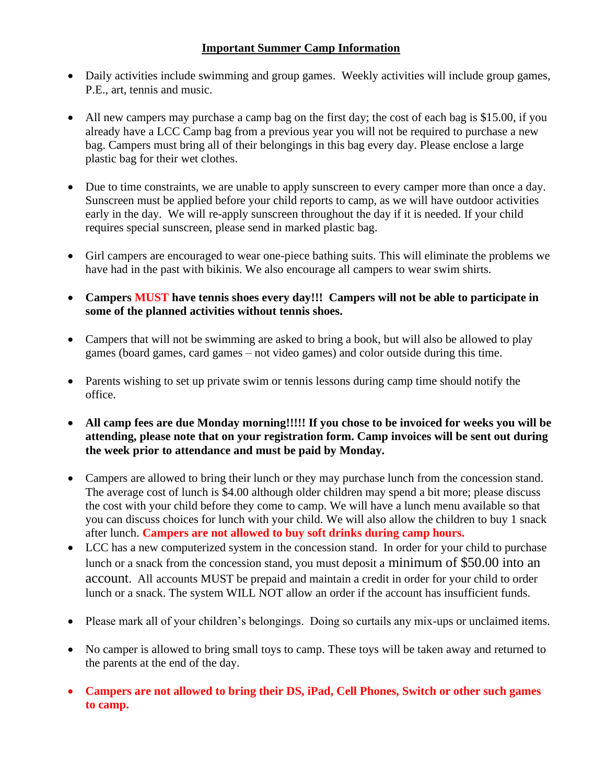## **Important Summer Camp Information**

- Daily activities include swimming and group games. Weekly activities will include group games, P.E., art, tennis and music.
- All new campers may purchase a camp bag on the first day; the cost of each bag is \$15.00, if you already have a LCC Camp bag from a previous year you will not be required to purchase a new bag. Campers must bring all of their belongings in this bag every day. Please enclose a large plastic bag for their wet clothes.
- Due to time constraints, we are unable to apply sunscreen to every camper more than once a day. Sunscreen must be applied before your child reports to camp, as we will have outdoor activities early in the day. We will re-apply sunscreen throughout the day if it is needed. If your child requires special sunscreen, please send in marked plastic bag.
- Girl campers are encouraged to wear one-piece bathing suits. This will eliminate the problems we have had in the past with bikinis. We also encourage all campers to wear swim shirts.
- **Campers MUST have tennis shoes every day!!! Campers will not be able to participate in some of the planned activities without tennis shoes.**
- Campers that will not be swimming are asked to bring a book, but will also be allowed to play games (board games, card games – not video games) and color outside during this time.
- Parents wishing to set up private swim or tennis lessons during camp time should notify the office.
- **All camp fees are due Monday morning!!!!! If you chose to be invoiced for weeks you will be attending, please note that on your registration form. Camp invoices will be sent out during the week prior to attendance and must be paid by Monday.**
- Campers are allowed to bring their lunch or they may purchase lunch from the concession stand. The average cost of lunch is \$4.00 although older children may spend a bit more; please discuss the cost with your child before they come to camp. We will have a lunch menu available so that you can discuss choices for lunch with your child. We will also allow the children to buy 1 snack after lunch. **Campers are not allowed to buy soft drinks during camp hours.**
- LCC has a new computerized system in the concession stand. In order for your child to purchase lunch or a snack from the concession stand, you must deposit a minimum of \$50.00 into an account. All accounts MUST be prepaid and maintain a credit in order for your child to order lunch or a snack. The system WILL NOT allow an order if the account has insufficient funds.
- Please mark all of your children's belongings. Doing so curtails any mix-ups or unclaimed items.
- No camper is allowed to bring small toys to camp. These toys will be taken away and returned to the parents at the end of the day.
- **Campers are not allowed to bring their DS, iPad, Cell Phones, Switch or other such games to camp.**